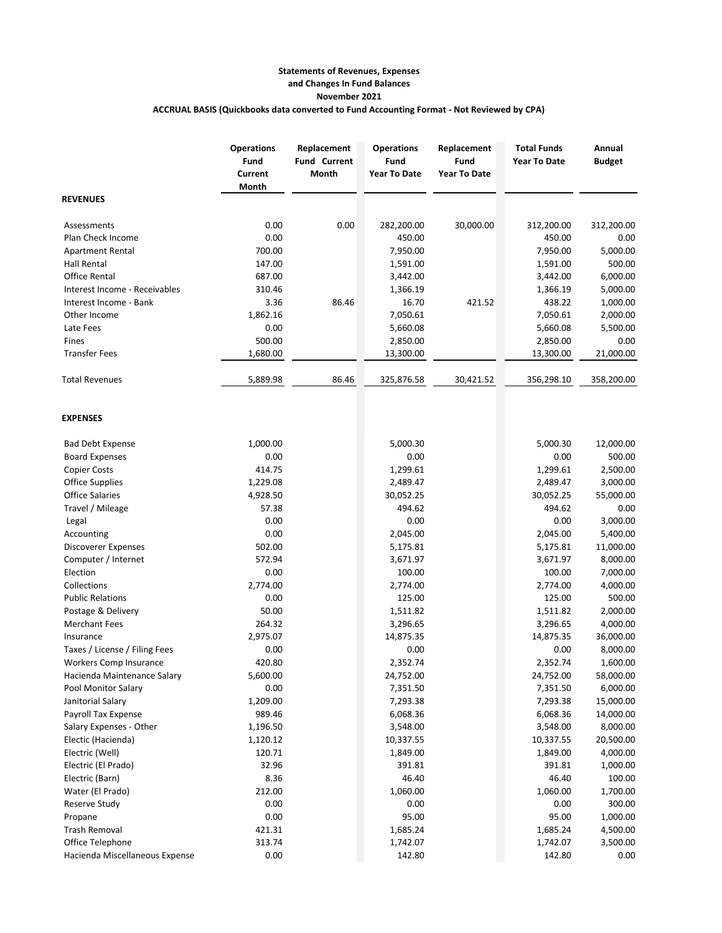## **Statements of Revenues, Expenses and Changes In Fund Balances November 2021 ACCRUAL BASIS (Quickbooks data converted to Fund Accounting Format - Not Reviewed by CPA)**

|                                | <b>Operations</b><br>Fund<br>Current<br>Month | Replacement<br><b>Fund Current</b><br>Month | <b>Operations</b><br>Fund<br><b>Year To Date</b> | Replacement<br>Fund<br><b>Year To Date</b> | <b>Total Funds</b><br><b>Year To Date</b> | Annual<br><b>Budget</b> |
|--------------------------------|-----------------------------------------------|---------------------------------------------|--------------------------------------------------|--------------------------------------------|-------------------------------------------|-------------------------|
| <b>REVENUES</b>                |                                               |                                             |                                                  |                                            |                                           |                         |
| Assessments                    | 0.00                                          | 0.00                                        | 282,200.00                                       | 30,000.00                                  | 312,200.00                                | 312,200.00              |
| Plan Check Income              | 0.00                                          |                                             | 450.00                                           |                                            | 450.00                                    | 0.00                    |
| <b>Apartment Rental</b>        | 700.00                                        |                                             | 7,950.00                                         |                                            | 7,950.00                                  | 5,000.00                |
| <b>Hall Rental</b>             | 147.00                                        |                                             | 1,591.00                                         |                                            | 1,591.00                                  | 500.00                  |
| <b>Office Rental</b>           | 687.00                                        |                                             | 3,442.00                                         |                                            | 3,442.00                                  | 6,000.00                |
| Interest Income - Receivables  | 310.46                                        |                                             | 1,366.19                                         |                                            | 1,366.19                                  | 5,000.00                |
| Interest Income - Bank         | 3.36                                          | 86.46                                       | 16.70                                            | 421.52                                     | 438.22                                    | 1,000.00                |
| Other Income                   | 1,862.16                                      |                                             | 7,050.61                                         |                                            | 7,050.61                                  | 2,000.00                |
| Late Fees                      | 0.00                                          |                                             | 5,660.08                                         |                                            | 5,660.08                                  | 5,500.00                |
| Fines                          | 500.00                                        |                                             | 2,850.00                                         |                                            | 2,850.00                                  | 0.00                    |
| <b>Transfer Fees</b>           | 1,680.00                                      |                                             | 13,300.00                                        |                                            | 13,300.00                                 | 21,000.00               |
| <b>Total Revenues</b>          | 5,889.98                                      | 86.46                                       | 325,876.58                                       | 30,421.52                                  | 356,298.10                                | 358,200.00              |
| <b>EXPENSES</b>                |                                               |                                             |                                                  |                                            |                                           |                         |
| <b>Bad Debt Expense</b>        | 1,000.00                                      |                                             | 5,000.30                                         |                                            | 5,000.30                                  | 12,000.00               |
| <b>Board Expenses</b>          | 0.00                                          |                                             | 0.00                                             |                                            | 0.00                                      | 500.00                  |
| <b>Copier Costs</b>            | 414.75                                        |                                             | 1,299.61                                         |                                            | 1,299.61                                  | 2,500.00                |
| <b>Office Supplies</b>         | 1,229.08                                      |                                             | 2,489.47                                         |                                            | 2,489.47                                  | 3,000.00                |
| <b>Office Salaries</b>         | 4,928.50                                      |                                             | 30,052.25                                        |                                            | 30,052.25                                 | 55,000.00               |
| Travel / Mileage               | 57.38                                         |                                             | 494.62                                           |                                            | 494.62                                    | 0.00                    |
| Legal                          | 0.00                                          |                                             | 0.00                                             |                                            | 0.00                                      | 3,000.00                |
| Accounting                     | 0.00                                          |                                             | 2,045.00                                         |                                            | 2,045.00                                  | 5,400.00                |
| Discoverer Expenses            | 502.00                                        |                                             | 5,175.81                                         |                                            | 5,175.81                                  | 11,000.00               |
| Computer / Internet            | 572.94                                        |                                             | 3,671.97                                         |                                            | 3,671.97                                  | 8,000.00                |
| Election                       | 0.00                                          |                                             | 100.00                                           |                                            | 100.00                                    | 7,000.00                |
| Collections                    | 2,774.00                                      |                                             | 2,774.00                                         |                                            | 2,774.00                                  | 4,000.00                |
| <b>Public Relations</b>        | 0.00                                          |                                             | 125.00                                           |                                            | 125.00                                    | 500.00                  |
| Postage & Delivery             | 50.00                                         |                                             | 1,511.82                                         |                                            | 1,511.82                                  | 2,000.00                |
| <b>Merchant Fees</b>           | 264.32                                        |                                             | 3,296.65                                         |                                            | 3,296.65                                  | 4,000.00                |
| Insurance                      | 2,975.07                                      |                                             | 14,875.35                                        |                                            | 14,875.35                                 | 36,000.00               |
| Taxes / License / Filing Fees  | 0.00                                          |                                             | 0.00                                             |                                            | 0.00                                      | 8,000.00                |
| Workers Comp Insurance         | 420.80                                        |                                             | 2,352.74                                         |                                            | 2,352.74                                  | 1,600.00                |
| Hacienda Maintenance Salary    | 5,600.00                                      |                                             | 24,752.00                                        |                                            | 24,752.00                                 | 58,000.00               |
| Pool Monitor Salary            | 0.00                                          |                                             | 7,351.50                                         |                                            | 7,351.50                                  | 6,000.00                |
| Janitorial Salary              | 1,209.00                                      |                                             | 7,293.38                                         |                                            | 7,293.38                                  | 15,000.00               |
| Payroll Tax Expense            | 989.46                                        |                                             | 6,068.36                                         |                                            | 6,068.36                                  | 14,000.00               |
| Salary Expenses - Other        | 1,196.50                                      |                                             | 3,548.00                                         |                                            | 3,548.00                                  | 8,000.00                |
| Electic (Hacienda)             | 1,120.12                                      |                                             | 10,337.55                                        |                                            | 10,337.55                                 | 20,500.00               |
| Electric (Well)                | 120.71                                        |                                             | 1,849.00                                         |                                            | 1,849.00                                  | 4,000.00                |
| Electric (El Prado)            | 32.96                                         |                                             | 391.81                                           |                                            | 391.81                                    | 1,000.00                |
| Electric (Barn)                | 8.36                                          |                                             | 46.40                                            |                                            | 46.40                                     | 100.00                  |
| Water (El Prado)               | 212.00                                        |                                             | 1,060.00                                         |                                            | 1,060.00                                  | 1,700.00                |
| Reserve Study                  | 0.00                                          |                                             | 0.00                                             |                                            | 0.00                                      | 300.00                  |
| Propane                        | 0.00                                          |                                             | 95.00                                            |                                            | 95.00                                     | 1,000.00                |
| <b>Trash Removal</b>           | 421.31                                        |                                             | 1,685.24                                         |                                            | 1,685.24                                  | 4,500.00                |
| Office Telephone               | 313.74                                        |                                             | 1,742.07                                         |                                            | 1,742.07                                  | 3,500.00                |
| Hacienda Miscellaneous Expense | 0.00                                          |                                             | 142.80                                           |                                            | 142.80                                    | 0.00                    |